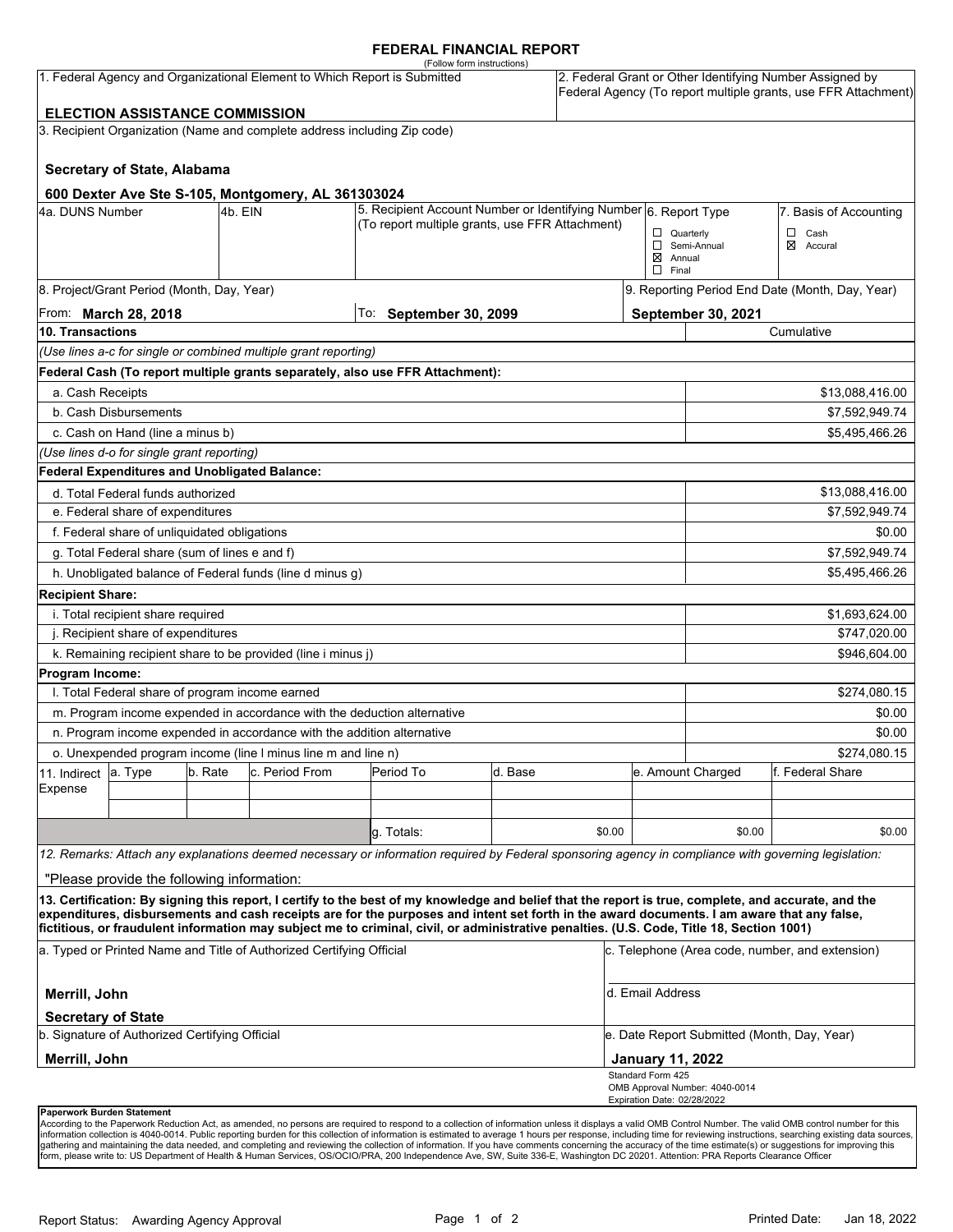### **FEDERAL FINANCIAL REPORT**

|                                                                           |                                                 |                                                   |                                                                          | (Follow form instructions)                                                                                                                                                                                                                                                                                                                                                                                                                      |                                                 |                                                                                                                            |                                                 |                                             |                 |  |  |
|---------------------------------------------------------------------------|-------------------------------------------------|---------------------------------------------------|--------------------------------------------------------------------------|-------------------------------------------------------------------------------------------------------------------------------------------------------------------------------------------------------------------------------------------------------------------------------------------------------------------------------------------------------------------------------------------------------------------------------------------------|-------------------------------------------------|----------------------------------------------------------------------------------------------------------------------------|-------------------------------------------------|---------------------------------------------|-----------------|--|--|
| 1. Federal Agency and Organizational Element to Which Report is Submitted |                                                 |                                                   |                                                                          |                                                                                                                                                                                                                                                                                                                                                                                                                                                 |                                                 | 2. Federal Grant or Other Identifying Number Assigned by<br>Federal Agency (To report multiple grants, use FFR Attachment) |                                                 |                                             |                 |  |  |
|                                                                           | <b>ELECTION ASSISTANCE COMMISSION</b>           |                                                   |                                                                          |                                                                                                                                                                                                                                                                                                                                                                                                                                                 |                                                 |                                                                                                                            |                                                 |                                             |                 |  |  |
|                                                                           |                                                 |                                                   | 3. Recipient Organization (Name and complete address including Zip code) |                                                                                                                                                                                                                                                                                                                                                                                                                                                 |                                                 |                                                                                                                            |                                                 |                                             |                 |  |  |
|                                                                           |                                                 |                                                   |                                                                          |                                                                                                                                                                                                                                                                                                                                                                                                                                                 |                                                 |                                                                                                                            |                                                 |                                             |                 |  |  |
|                                                                           | <b>Secretary of State, Alabama</b>              |                                                   |                                                                          |                                                                                                                                                                                                                                                                                                                                                                                                                                                 |                                                 |                                                                                                                            |                                                 |                                             |                 |  |  |
|                                                                           |                                                 |                                                   | 600 Dexter Ave Ste S-105, Montgomery, AL 361303024                       |                                                                                                                                                                                                                                                                                                                                                                                                                                                 |                                                 |                                                                                                                            |                                                 |                                             |                 |  |  |
| 4a. DUNS Number                                                           |                                                 | 4b. EIN                                           |                                                                          | 5. Recipient Account Number or Identifying Number 6. Report Type                                                                                                                                                                                                                                                                                                                                                                                |                                                 |                                                                                                                            |                                                 | 7. Basis of Accounting                      |                 |  |  |
|                                                                           |                                                 |                                                   |                                                                          | (To report multiple grants, use FFR Attachment)                                                                                                                                                                                                                                                                                                                                                                                                 |                                                 |                                                                                                                            | $\Box$ Quarterly                                |                                             | $\Box$<br>Cash  |  |  |
|                                                                           |                                                 |                                                   |                                                                          |                                                                                                                                                                                                                                                                                                                                                                                                                                                 |                                                 |                                                                                                                            | $\boxtimes$ Annual                              | Semi-Annual                                 | ⊠<br>Accural    |  |  |
|                                                                           |                                                 |                                                   |                                                                          |                                                                                                                                                                                                                                                                                                                                                                                                                                                 |                                                 |                                                                                                                            | $\Box$ Final                                    |                                             |                 |  |  |
|                                                                           | 8. Project/Grant Period (Month, Day, Year)      |                                                   |                                                                          |                                                                                                                                                                                                                                                                                                                                                                                                                                                 |                                                 |                                                                                                                            | 9. Reporting Period End Date (Month, Day, Year) |                                             |                 |  |  |
|                                                                           | From: <b>March 28, 2018</b>                     |                                                   |                                                                          | To: September 30, 2099                                                                                                                                                                                                                                                                                                                                                                                                                          |                                                 |                                                                                                                            |                                                 | September 30, 2021                          |                 |  |  |
| 10. Transactions                                                          |                                                 |                                                   |                                                                          |                                                                                                                                                                                                                                                                                                                                                                                                                                                 |                                                 |                                                                                                                            |                                                 |                                             | Cumulative      |  |  |
|                                                                           |                                                 |                                                   | (Use lines a-c for single or combined multiple grant reporting)          |                                                                                                                                                                                                                                                                                                                                                                                                                                                 |                                                 |                                                                                                                            |                                                 |                                             |                 |  |  |
|                                                                           |                                                 |                                                   |                                                                          | Federal Cash (To report multiple grants separately, also use FFR Attachment):                                                                                                                                                                                                                                                                                                                                                                   |                                                 |                                                                                                                            |                                                 |                                             |                 |  |  |
| a. Cash Receipts                                                          |                                                 |                                                   |                                                                          |                                                                                                                                                                                                                                                                                                                                                                                                                                                 |                                                 |                                                                                                                            |                                                 |                                             | \$13,088,416.00 |  |  |
|                                                                           | b. Cash Disbursements                           |                                                   |                                                                          |                                                                                                                                                                                                                                                                                                                                                                                                                                                 |                                                 |                                                                                                                            |                                                 |                                             | \$7,592,949.74  |  |  |
|                                                                           | c. Cash on Hand (line a minus b)                |                                                   |                                                                          |                                                                                                                                                                                                                                                                                                                                                                                                                                                 |                                                 |                                                                                                                            |                                                 |                                             | \$5,495,466.26  |  |  |
|                                                                           | (Use lines d-o for single grant reporting)      |                                                   |                                                                          |                                                                                                                                                                                                                                                                                                                                                                                                                                                 |                                                 |                                                                                                                            |                                                 |                                             |                 |  |  |
|                                                                           | Federal Expenditures and Unobligated Balance:   |                                                   |                                                                          |                                                                                                                                                                                                                                                                                                                                                                                                                                                 |                                                 |                                                                                                                            |                                                 |                                             |                 |  |  |
|                                                                           | d. Total Federal funds authorized               |                                                   |                                                                          |                                                                                                                                                                                                                                                                                                                                                                                                                                                 |                                                 |                                                                                                                            |                                                 | \$13,088,416.00                             |                 |  |  |
|                                                                           | e. Federal share of expenditures                |                                                   |                                                                          |                                                                                                                                                                                                                                                                                                                                                                                                                                                 |                                                 |                                                                                                                            |                                                 |                                             | \$7,592,949.74  |  |  |
|                                                                           | f. Federal share of unliquidated obligations    |                                                   |                                                                          |                                                                                                                                                                                                                                                                                                                                                                                                                                                 |                                                 |                                                                                                                            |                                                 | \$0.00                                      |                 |  |  |
|                                                                           | g. Total Federal share (sum of lines e and f)   |                                                   |                                                                          |                                                                                                                                                                                                                                                                                                                                                                                                                                                 |                                                 |                                                                                                                            |                                                 | \$7,592,949.74                              |                 |  |  |
|                                                                           |                                                 |                                                   | h. Unobligated balance of Federal funds (line d minus g)                 |                                                                                                                                                                                                                                                                                                                                                                                                                                                 |                                                 |                                                                                                                            |                                                 |                                             | \$5,495,466.26  |  |  |
| <b>Recipient Share:</b>                                                   |                                                 |                                                   |                                                                          |                                                                                                                                                                                                                                                                                                                                                                                                                                                 |                                                 |                                                                                                                            |                                                 |                                             |                 |  |  |
|                                                                           | i. Total recipient share required               |                                                   |                                                                          |                                                                                                                                                                                                                                                                                                                                                                                                                                                 |                                                 |                                                                                                                            |                                                 | \$1,693,624.00                              |                 |  |  |
|                                                                           | j. Recipient share of expenditures              |                                                   |                                                                          |                                                                                                                                                                                                                                                                                                                                                                                                                                                 |                                                 |                                                                                                                            |                                                 | \$747,020.00                                |                 |  |  |
|                                                                           |                                                 |                                                   | k. Remaining recipient share to be provided (line i minus j)             |                                                                                                                                                                                                                                                                                                                                                                                                                                                 |                                                 |                                                                                                                            |                                                 |                                             | \$946,604.00    |  |  |
| Program Income:                                                           |                                                 |                                                   |                                                                          |                                                                                                                                                                                                                                                                                                                                                                                                                                                 |                                                 |                                                                                                                            |                                                 |                                             |                 |  |  |
|                                                                           | I. Total Federal share of program income earned |                                                   |                                                                          |                                                                                                                                                                                                                                                                                                                                                                                                                                                 |                                                 |                                                                                                                            |                                                 |                                             | \$274,080.15    |  |  |
|                                                                           |                                                 |                                                   | m. Program income expended in accordance with the deduction alternative  |                                                                                                                                                                                                                                                                                                                                                                                                                                                 |                                                 |                                                                                                                            |                                                 | \$0.00                                      |                 |  |  |
|                                                                           |                                                 |                                                   | n. Program income expended in accordance with the addition alternative   |                                                                                                                                                                                                                                                                                                                                                                                                                                                 |                                                 |                                                                                                                            |                                                 |                                             | \$0.00          |  |  |
| o. Unexpended program income (line I minus line m and line n)             |                                                 |                                                   |                                                                          |                                                                                                                                                                                                                                                                                                                                                                                                                                                 | e. Amount Charged                               |                                                                                                                            |                                                 | \$274,080.15                                |                 |  |  |
| 11. Indirect<br>Expense                                                   | a. Type                                         | c. Period From<br>b. Rate<br>Period To<br>d. Base |                                                                          |                                                                                                                                                                                                                                                                                                                                                                                                                                                 |                                                 | f. Federal Share                                                                                                           |                                                 |                                             |                 |  |  |
|                                                                           |                                                 |                                                   |                                                                          |                                                                                                                                                                                                                                                                                                                                                                                                                                                 |                                                 |                                                                                                                            |                                                 |                                             |                 |  |  |
|                                                                           |                                                 |                                                   |                                                                          | g. Totals:                                                                                                                                                                                                                                                                                                                                                                                                                                      |                                                 | \$0.00                                                                                                                     |                                                 | \$0.00                                      | \$0.00          |  |  |
|                                                                           |                                                 |                                                   |                                                                          |                                                                                                                                                                                                                                                                                                                                                                                                                                                 |                                                 |                                                                                                                            |                                                 |                                             |                 |  |  |
|                                                                           |                                                 |                                                   |                                                                          | 12. Remarks: Attach any explanations deemed necessary or information required by Federal sponsoring agency in compliance with governing legislation:                                                                                                                                                                                                                                                                                            |                                                 |                                                                                                                            |                                                 |                                             |                 |  |  |
|                                                                           | "Please provide the following information:      |                                                   |                                                                          |                                                                                                                                                                                                                                                                                                                                                                                                                                                 |                                                 |                                                                                                                            |                                                 |                                             |                 |  |  |
|                                                                           |                                                 |                                                   |                                                                          | 13. Certification: By signing this report, I certify to the best of my knowledge and belief that the report is true, complete, and accurate, and the<br>expenditures, disbursements and cash receipts are for the purposes and intent set forth in the award documents. I am aware that any false,<br>fictitious, or fraudulent information may subject me to criminal, civil, or administrative penalties. (U.S. Code, Title 18, Section 1001) |                                                 |                                                                                                                            |                                                 |                                             |                 |  |  |
| a. Typed or Printed Name and Title of Authorized Certifying Official      |                                                 |                                                   |                                                                          |                                                                                                                                                                                                                                                                                                                                                                                                                                                 | c. Telephone (Area code, number, and extension) |                                                                                                                            |                                                 |                                             |                 |  |  |
|                                                                           |                                                 |                                                   |                                                                          |                                                                                                                                                                                                                                                                                                                                                                                                                                                 |                                                 |                                                                                                                            |                                                 |                                             |                 |  |  |
| Merrill, John                                                             |                                                 |                                                   |                                                                          |                                                                                                                                                                                                                                                                                                                                                                                                                                                 | d. Email Address                                |                                                                                                                            |                                                 |                                             |                 |  |  |
| <b>Secretary of State</b>                                                 | b. Signature of Authorized Certifying Official  |                                                   |                                                                          |                                                                                                                                                                                                                                                                                                                                                                                                                                                 |                                                 |                                                                                                                            |                                                 | e. Date Report Submitted (Month, Day, Year) |                 |  |  |
| Merrill, John                                                             |                                                 |                                                   |                                                                          |                                                                                                                                                                                                                                                                                                                                                                                                                                                 |                                                 | <b>January 11, 2022</b>                                                                                                    |                                                 |                                             |                 |  |  |
|                                                                           |                                                 |                                                   |                                                                          |                                                                                                                                                                                                                                                                                                                                                                                                                                                 |                                                 | Standard Form 425                                                                                                          |                                                 |                                             |                 |  |  |
|                                                                           |                                                 |                                                   |                                                                          |                                                                                                                                                                                                                                                                                                                                                                                                                                                 |                                                 |                                                                                                                            | Expiration Date: 02/28/2022                     | OMB Approval Number: 4040-0014              |                 |  |  |
|                                                                           |                                                 |                                                   |                                                                          |                                                                                                                                                                                                                                                                                                                                                                                                                                                 |                                                 |                                                                                                                            |                                                 |                                             |                 |  |  |

**Paperwork Burden Statement**<br>According to the Paperwork Reduction Act, as amended, no persons are required to respond to a collection of information unless it displays a valid OMB Control Number. The valid OMB control numb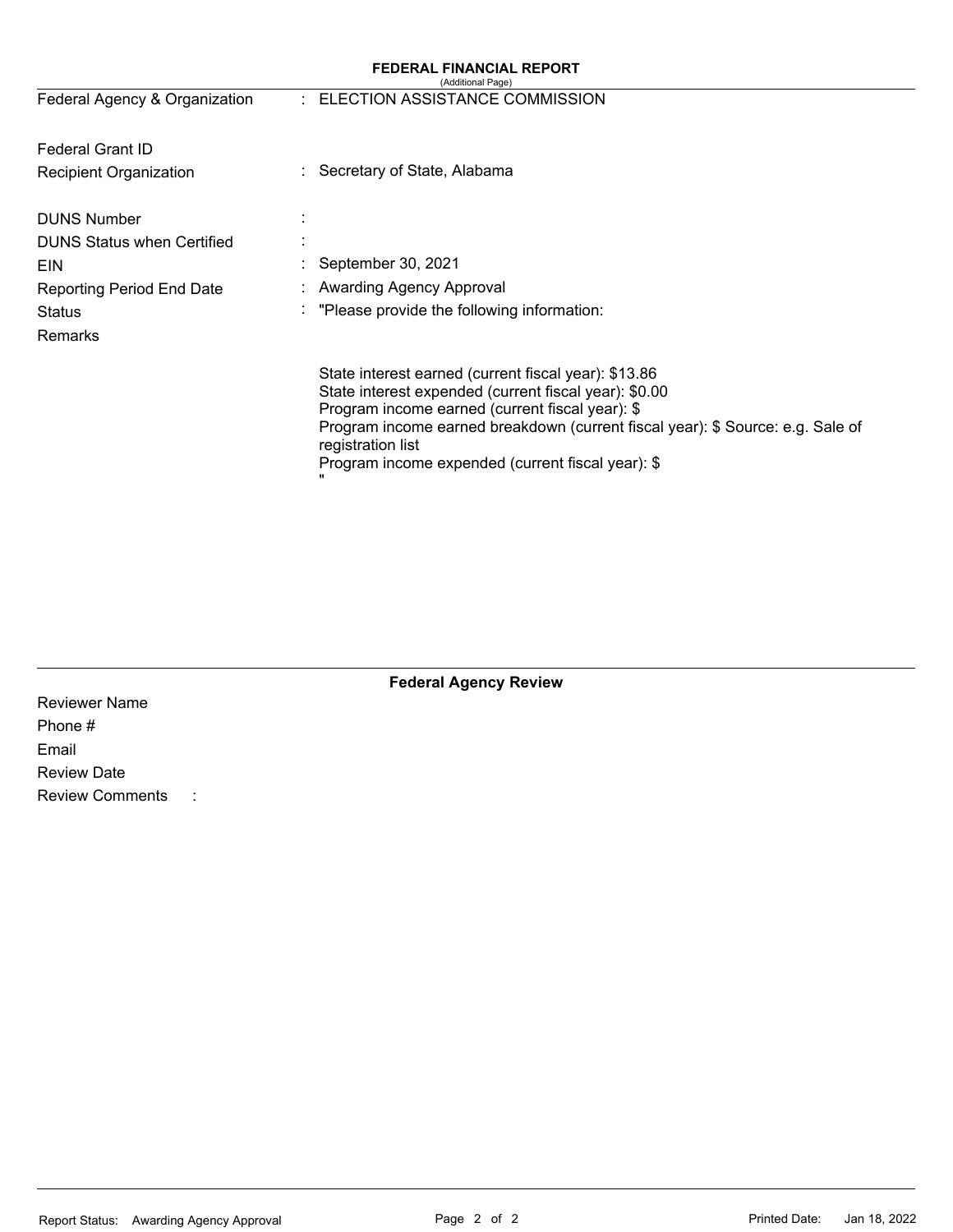| <b>FEDERAL FINANCIAL REPORT</b><br>(Additional Page) |                                                                                                                                                                                                                                                                                                                              |  |  |  |  |
|------------------------------------------------------|------------------------------------------------------------------------------------------------------------------------------------------------------------------------------------------------------------------------------------------------------------------------------------------------------------------------------|--|--|--|--|
| Federal Agency & Organization                        | : ELECTION ASSISTANCE COMMISSION                                                                                                                                                                                                                                                                                             |  |  |  |  |
| <b>Federal Grant ID</b>                              |                                                                                                                                                                                                                                                                                                                              |  |  |  |  |
| <b>Recipient Organization</b>                        | : Secretary of State, Alabama                                                                                                                                                                                                                                                                                                |  |  |  |  |
| <b>DUNS Number</b>                                   |                                                                                                                                                                                                                                                                                                                              |  |  |  |  |
| <b>DUNS Status when Certified</b>                    |                                                                                                                                                                                                                                                                                                                              |  |  |  |  |
| <b>EIN</b>                                           | September 30, 2021                                                                                                                                                                                                                                                                                                           |  |  |  |  |
| <b>Reporting Period End Date</b>                     | Awarding Agency Approval                                                                                                                                                                                                                                                                                                     |  |  |  |  |
| <b>Status</b><br>٠                                   | "Please provide the following information:                                                                                                                                                                                                                                                                                   |  |  |  |  |
| Remarks                                              |                                                                                                                                                                                                                                                                                                                              |  |  |  |  |
|                                                      | State interest earned (current fiscal year): \$13.86<br>State interest expended (current fiscal year): \$0.00<br>Program income earned (current fiscal year): \$<br>Program income earned breakdown (current fiscal year): \$ Source: e.g. Sale of<br>registration list<br>Program income expended (current fiscal year): \$ |  |  |  |  |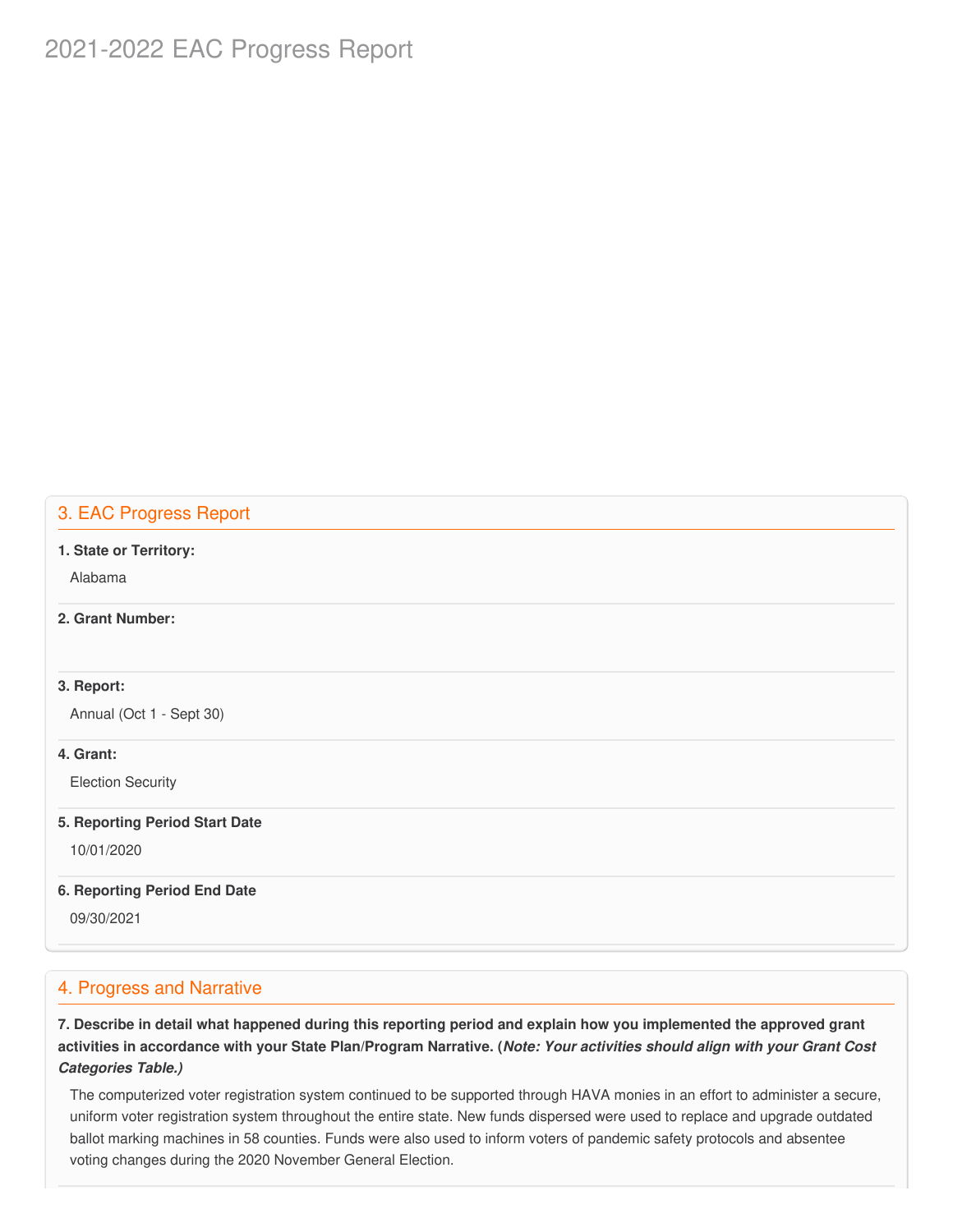# 2021-2022 EAC Progress Report

## 3. EAC Progress Report

#### **1. State or Territory:**

Alabama

## **2. Grant Number:**

### **3. Report:**

Annual (Oct 1 - Sept 30)

### **4. Grant:**

Election Security

#### **5. Reporting Period Start Date**

10/01/2020

## **6. Reporting Period End Date**

09/30/2021

## 4. Progress and Narrative

7. Describe in detail what happened during this reporting period and explain how you implemented the approved grant activities in accordance with your State Plan/Program Narrative. (*Note: Your activities should align with your Grant Cost Categories Table.)*

 The computerized voter registration system continued to be supported through HAVA monies in an effort to administer a secure, uniform voter registration system throughout the entire state. New funds dispersed were used to replace and upgrade outdated ballot marking machines in 58 counties. Funds were also used to inform voters of pandemic safety protocols and absentee voting changes during the 2020 November General Election.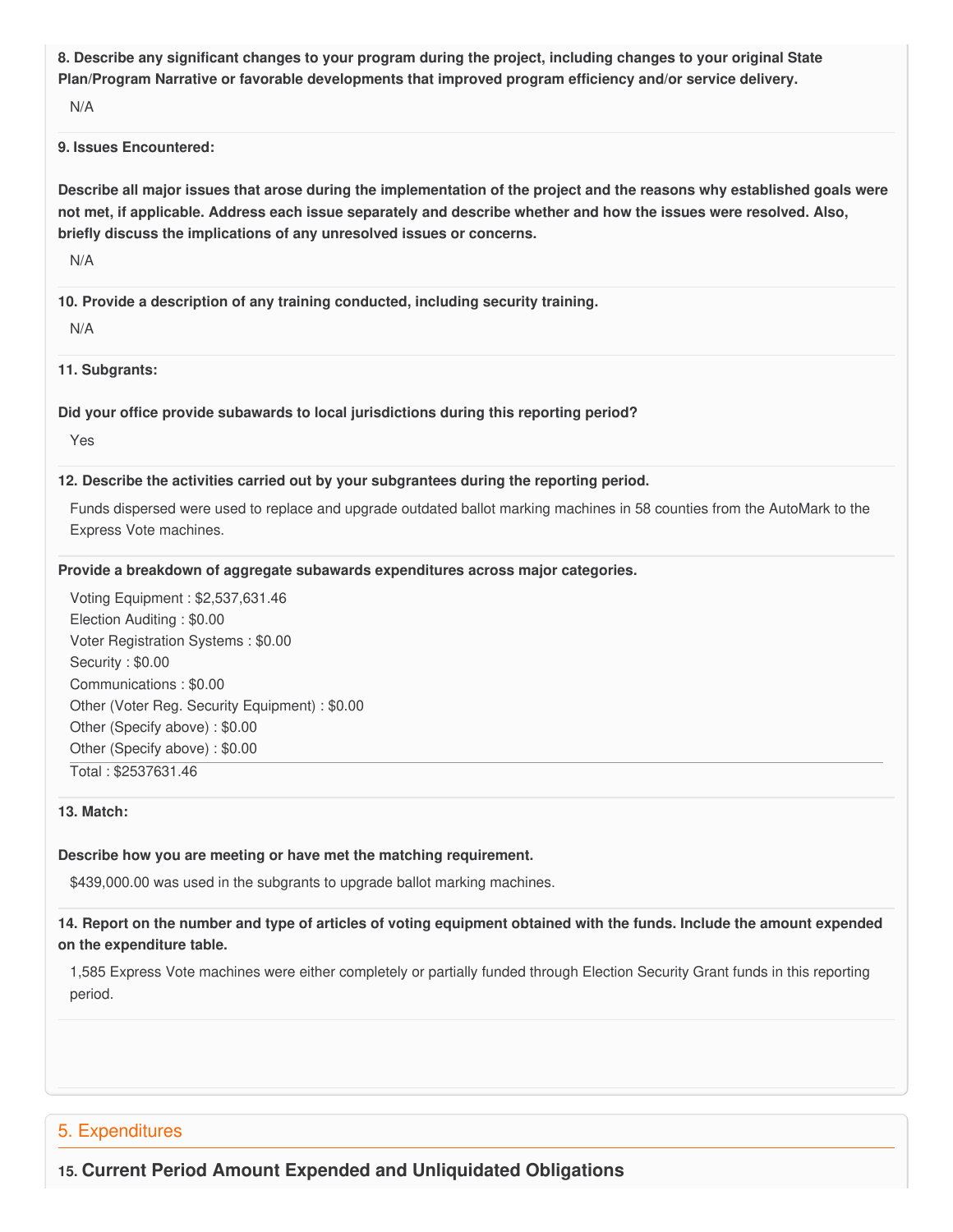8. Describe any significant changes to your program during the project, including changes to your original State  **Plan/Program Narrative or favorable developments that improved program efficiency and/or service delivery.**

N/A

#### **9. Issues Encountered:**

Describe all major issues that arose during the implementation of the project and the reasons why established goals were not met, if applicable. Address each issue separately and describe whether and how the issues were resolved. Also,  **briefly discuss the implications of any unresolved issues or concerns.**

N/A

 **10. Provide a description of any training conducted, including security training.**

N/A

**11. Subgrants:**

 **Did your office provide subawards to local jurisdictions during this reporting period?**

Yes

#### **12. Describe the activities carried out by your subgrantees during the reporting period.**

 Funds dispersed were used to replace and upgrade outdated ballot marking machines in 58 counties from the AutoMark to the Express Vote machines.

#### **Provide a breakdown of aggregate subawards expenditures across major categories.**

 Voting Equipment : [\\$2,537,631.46](https://2,537,631.46) Election Auditing : \$0.00 Voter Registration Systems : \$0.00 Security : \$0.00 Communications : \$0.00 Other (Voter Reg. Security Equipment) : \$0.00 Other (Specify above) : \$0.00 Other (Specify above) : \$0.00 Total : [\\$2537631.46](https://2537631.46)

#### **13. Match:**

### **Describe how you are meeting or have met the matching requirement.**

[\\$439,000.00](https://439,000.00) was used in the subgrants to upgrade ballot marking machines.

## 14. Report on the number and type of articles of voting equipment obtained with the funds. Include the amount expended  **on the expenditure table.**

 1,585 Express Vote machines were either completely or partially funded through Election Security Grant funds in this reporting period.

## 5. Expenditures

 **15. Current Period Amount Expended and Unliquidated Obligations**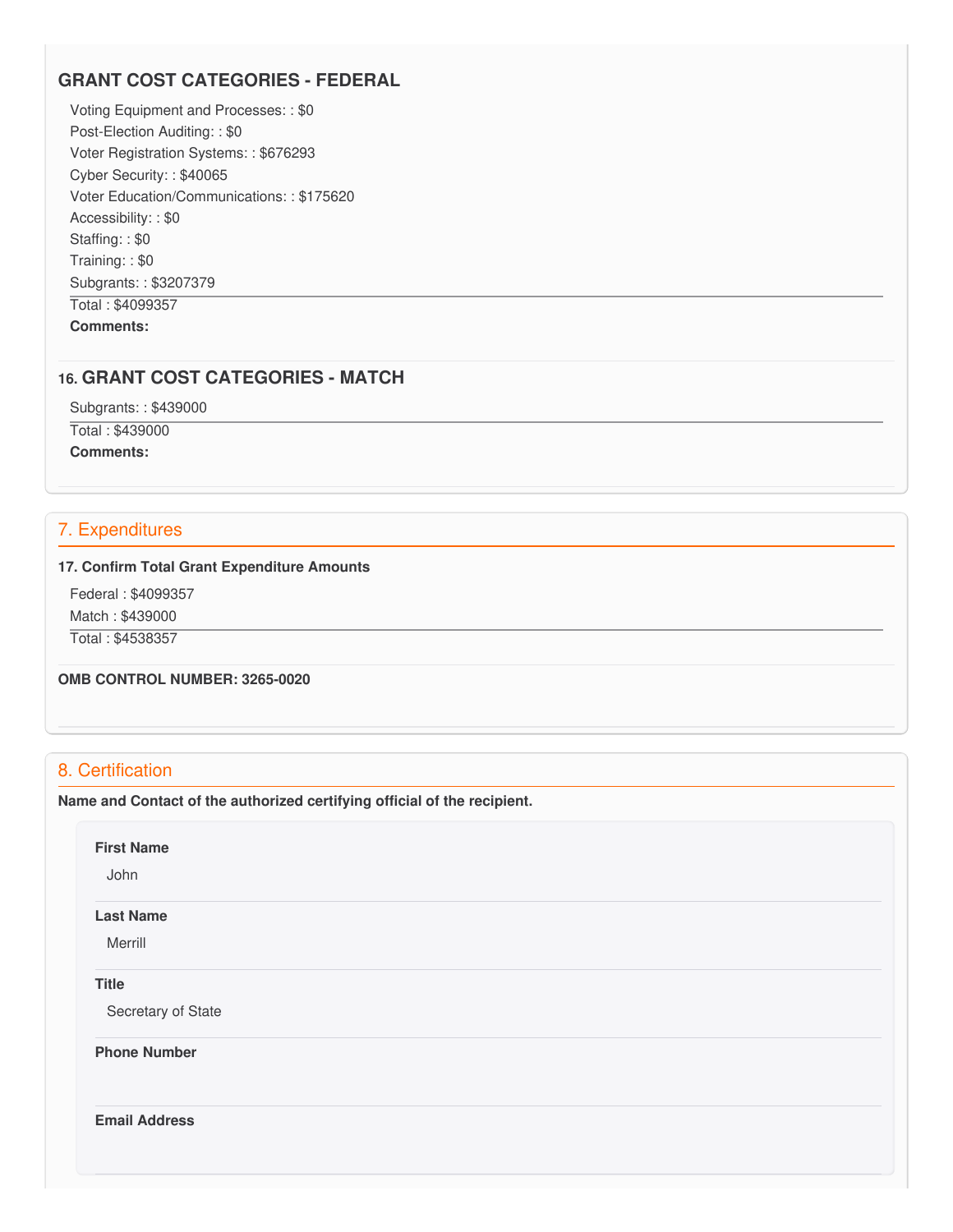## **GRANT COST CATEGORIES - FEDERAL**

 Voting Equipment and Processes: : \$0 Post-Election Auditing: : \$0 Voter Registration Systems: : \$676293 Cyber Security: : \$40065 Voter Education/Communications: : \$175620 Accessibility: : \$0 Staffing: : \$0 Training: : \$0 Subgrants: : \$3207379 Total : \$4099357

**Comments:**

## **16. GRANT COST CATEGORIES - MATCH**

 Subgrants: : \$439000 Total : \$439000 **Comments:**

## 7. Expenditures

#### **17. Confirm Total Grant Expenditure Amounts**

 Federal : \$4099357 Match : \$439000

Total : \$4538357

 **OMB CONTROL NUMBER: 3265-0020**

## 8. Certification

 **Name and Contact of the authorized certifying official of the recipient.**

### **First Name**

John

#### **Last Name**

Merrill

## **Title**

Secretary of State

**Phone Number** 

**Email Address**